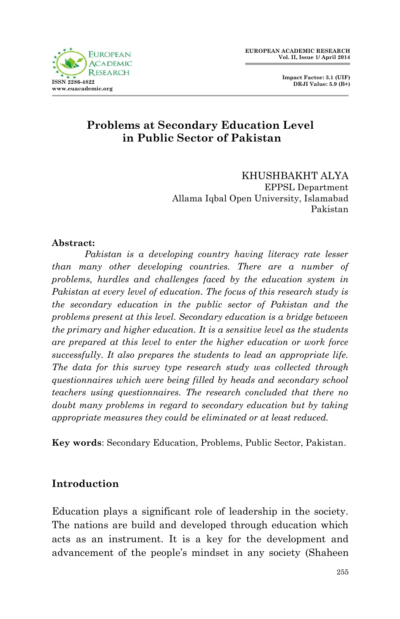

 **Impact Factor: 3.1 (UIF) DRJI Value: 5.9 (B+)**

## **Problems at Secondary Education Level in Public Sector of Pakistan**

KHUSHBAKHT ALYA EPPSL Department Allama Iqbal Open University, Islamabad Pakistan

#### **Abstract:**

*Pakistan is a developing country having literacy rate lesser than many other developing countries. There are a number of problems, hurdles and challenges faced by the education system in Pakistan at every level of education. The focus of this research study is the secondary education in the public sector of Pakistan and the problems present at this level. Secondary education is a bridge between the primary and higher education. It is a sensitive level as the students are prepared at this level to enter the higher education or work force successfully. It also prepares the students to lead an appropriate life. The data for this survey type research study was collected through questionnaires which were being filled by heads and secondary school teachers using questionnaires. The research concluded that there no doubt many problems in regard to secondary education but by taking appropriate measures they could be eliminated or at least reduced.* 

**Key words**: Secondary Education, Problems, Public Sector, Pakistan.

#### **Introduction**

Education plays a significant role of leadership in the society. The nations are build and developed through education which acts as an instrument. It is a key for the development and advancement of the people's mindset in any society (Shaheen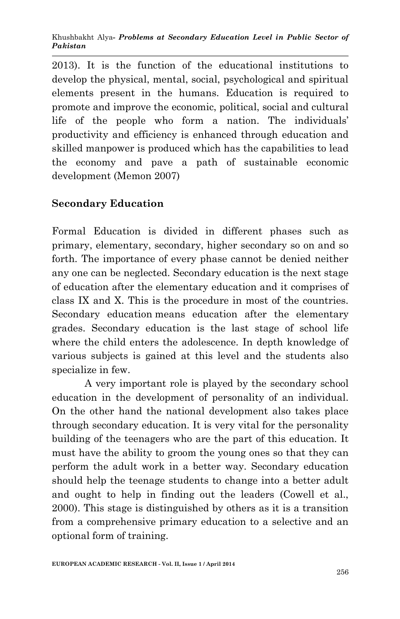2013). It is the function of the educational institutions to develop the physical, mental, social, psychological and spiritual elements present in the humans. Education is required to promote and improve the economic, political, social and cultural life of the people who form a nation. The individuals' productivity and efficiency is enhanced through education and skilled manpower is produced which has the capabilities to lead the economy and pave a path of sustainable economic development (Memon 2007)

## **Secondary Education**

Formal Education is divided in different phases such as primary, elementary, secondary, higher secondary so on and so forth. The importance of every phase cannot be denied neither any one can be neglected. Secondary education is the next stage of education after the elementary education and it comprises of class IX and X. This is the procedure in most of the countries. Secondary education means education after the elementary grades. Secondary education is the last stage of school life where the child enters the adolescence. In depth knowledge of various subjects is gained at this level and the students also specialize in few.

A very important role is played by the secondary school education in the development of personality of an individual. On the other hand the national development also takes place through secondary education. It is very vital for the personality building of the teenagers who are the part of this education. It must have the ability to groom the young ones so that they can perform the adult work in a better way. Secondary education should help the teenage students to change into a better adult and ought to help in finding out the leaders (Cowell et al., 2000). This stage is distinguished by others as it is a transition from a comprehensive primary education to a selective and an optional form of training.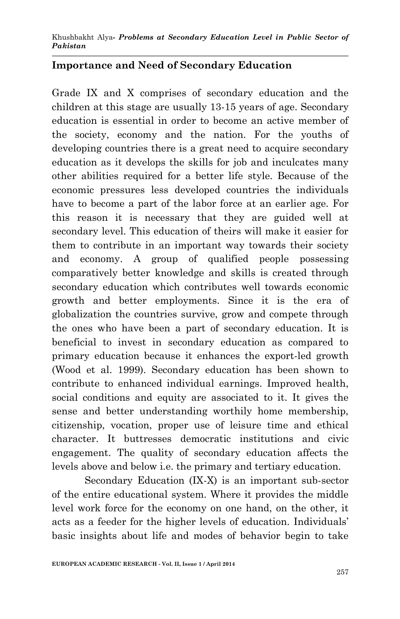#### **Importance and Need of Secondary Education**

Grade IX and X comprises of secondary education and the children at this stage are usually 13-15 years of age. Secondary education is essential in order to become an active member of the society, economy and the nation. For the youths of developing countries there is a great need to acquire secondary education as it develops the skills for job and inculcates many other abilities required for a better life style. Because of the economic pressures less developed countries the individuals have to become a part of the labor force at an earlier age. For this reason it is necessary that they are guided well at secondary level. This education of theirs will make it easier for them to contribute in an important way towards their society and economy. A group of qualified people possessing comparatively better knowledge and skills is created through secondary education which contributes well towards economic growth and better employments. Since it is the era of globalization the countries survive, grow and compete through the ones who have been a part of secondary education. It is beneficial to invest in secondary education as compared to primary education because it enhances the export-led growth (Wood et al. 1999). Secondary education has been shown to contribute to enhanced individual earnings. Improved health, social conditions and equity are associated to it. It gives the sense and better understanding worthily home membership, citizenship, vocation, proper use of leisure time and ethical character. It buttresses democratic institutions and civic engagement. The quality of secondary education affects the levels above and below i.e. the primary and tertiary education.

Secondary Education (IX-X) is an important sub-sector of the entire educational system. Where it provides the middle level work force for the economy on one hand, on the other, it acts as a feeder for the higher levels of education. Individuals' basic insights about life and modes of behavior begin to take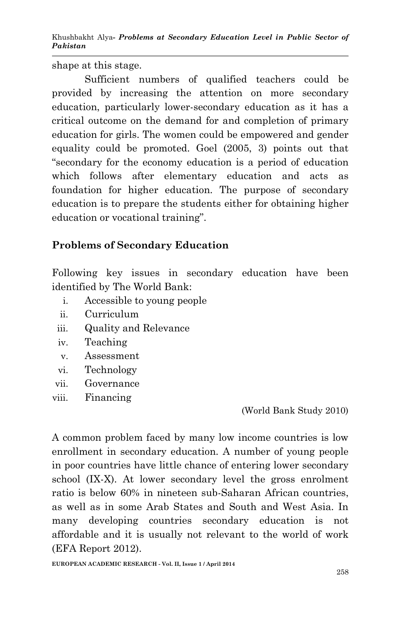shape at this stage.

Sufficient numbers of qualified teachers could be provided by increasing the attention on more secondary education, particularly lower-secondary education as it has a critical outcome on the demand for and completion of primary education for girls. The women could be empowered and gender equality could be promoted. Goel (2005, 3) points out that "secondary for the economy education is a period of education which follows after elementary education and acts as foundation for higher education. The purpose of secondary education is to prepare the students either for obtaining higher education or vocational training".

# **Problems of Secondary Education**

Following key issues in secondary education have been identified by The World Bank:

- i. Accessible to young people
- ii. Curriculum
- iii. Quality and Relevance
- iv. Teaching
- v. Assessment
- vi. Technology
- vii. Governance
- viii. Financing

(World Bank Study 2010)

A common problem faced by many low income countries is low enrollment in secondary education. A number of young people in poor countries have little chance of entering lower secondary school (IX-X). At lower secondary level the gross enrolment ratio is below 60% in nineteen sub-Saharan African countries, as well as in some Arab States and South and West Asia. In many developing countries secondary education is not affordable and it is usually not relevant to the world of work (EFA Report 2012).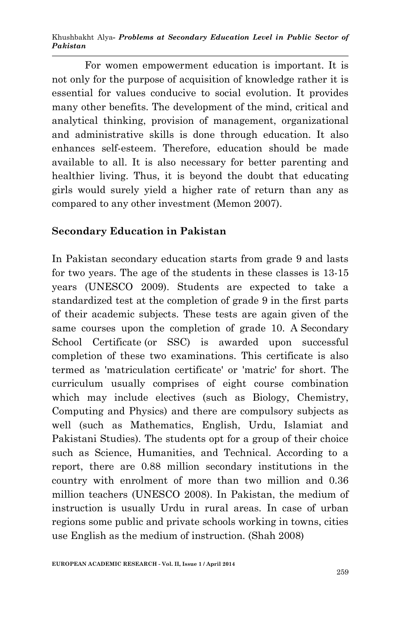Khushbakht Alya*- Problems at Secondary Education Level in Public Sector of Pakistan* 

For women empowerment education is important. It is not only for the purpose of acquisition of knowledge rather it is essential for values conducive to social evolution. It provides many other benefits. The development of the mind, critical and analytical thinking, provision of management, organizational and administrative skills is done through education. It also enhances self-esteem. Therefore, education should be made available to all. It is also necessary for better parenting and healthier living. Thus, it is beyond the doubt that educating girls would surely yield a higher rate of return than any as compared to any other investment (Memon 2007).

#### **Secondary Education in Pakistan**

In Pakistan secondary education starts from grade 9 and lasts for two years. The age of the students in these classes is 13-15 years (UNESCO 2009). Students are expected to take a standardized test at the completion of grade 9 in the first parts of their academic subjects. These tests are again given of the same courses upon the completion of grade 10. A Secondary School Certificate (or SSC) is awarded upon successful completion of these two examinations. This certificate is also termed as 'matriculation certificate' or 'matric' for short. The curriculum usually comprises of eight course combination which may include electives (such as Biology, Chemistry, Computing and Physics) and there are compulsory subjects as well (such as Mathematics, English, Urdu, Islamiat and Pakistani Studies). The students opt for a group of their choice such as Science, Humanities, and Technical. According to a report, there are 0.88 million secondary institutions in the country with enrolment of more than two million and 0.36 million teachers (UNESCO 2008). In Pakistan, the medium of instruction is usually Urdu in rural areas. In case of urban regions some public and private schools working in towns, cities use English as the medium of instruction. (Shah 2008)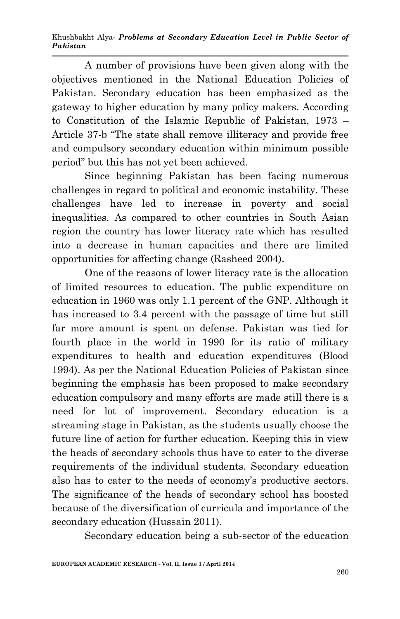A number of provisions have been given along with the objectives mentioned in the National Education Policies of Pakistan. Secondary education has been emphasized as the gateway to higher education by many policy makers. According to Constitution of the Islamic Republic of Pakistan, 1973 – Article 37-b "The state shall remove illiteracy and provide free and compulsory secondary education within minimum possible period" but this has not yet been achieved.

Since beginning Pakistan has been facing numerous challenges in regard to political and economic instability. These challenges have led to increase in poverty and social inequalities. As compared to other countries in South Asian region the country has lower literacy rate which has resulted into a decrease in human capacities and there are limited opportunities for affecting change (Rasheed 2004).

One of the reasons of lower literacy rate is the allocation of limited resources to education. The public expenditure on education in 1960 was only 1.1 percent of the GNP. Although it has increased to 3.4 percent with the passage of time but still far more amount is spent on defense. Pakistan was tied for fourth place in the world in 1990 for its ratio of military expenditures to health and education expenditures (Blood 1994). As per the National Education Policies of Pakistan since beginning the emphasis has been proposed to make secondary education compulsory and many efforts are made still there is a need for lot of improvement. Secondary education is a streaming stage in Pakistan, as the students usually choose the future line of action for further education. Keeping this in view the heads of secondary schools thus have to cater to the diverse requirements of the individual students. Secondary education also has to cater to the needs of economy's productive sectors. The significance of the heads of secondary school has boosted because of the diversification of curricula and importance of the secondary education (Hussain 2011).

Secondary education being a sub-sector of the education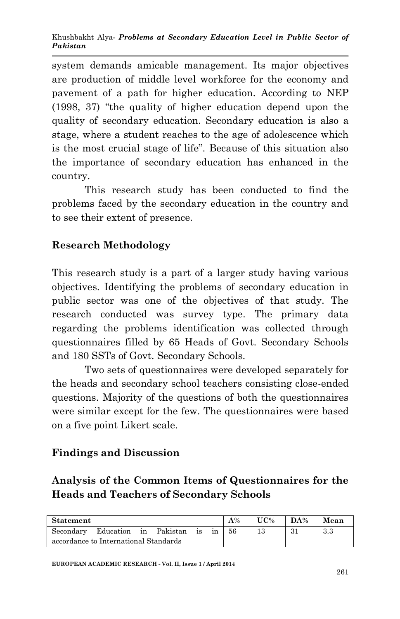system demands amicable management. Its major objectives are production of middle level workforce for the economy and pavement of a path for higher education. According to NEP (1998, 37) "the quality of higher education depend upon the quality of secondary education. Secondary education is also a stage, where a student reaches to the age of adolescence which is the most crucial stage of life". Because of this situation also the importance of secondary education has enhanced in the country.

This research study has been conducted to find the problems faced by the secondary education in the country and to see their extent of presence.

## **Research Methodology**

This research study is a part of a larger study having various objectives. Identifying the problems of secondary education in public sector was one of the objectives of that study. The research conducted was survey type. The primary data regarding the problems identification was collected through questionnaires filled by 65 Heads of Govt. Secondary Schools and 180 SSTs of Govt. Secondary Schools.

Two sets of questionnaires were developed separately for the heads and secondary school teachers consisting close-ended questions. Majority of the questions of both the questionnaires were similar except for the few. The questionnaires were based on a five point Likert scale.

## **Findings and Discussion**

# **Analysis of the Common Items of Questionnaires for the Heads and Teachers of Secondary Schools**

| <b>Statement</b>                      |                                 |  |  | $A\%$ | UC% | DA% | Mean |     |     |
|---------------------------------------|---------------------------------|--|--|-------|-----|-----|------|-----|-----|
|                                       | Secondary Education in Pakistan |  |  |       |     | 56  |      | -31 | 3.3 |
| accordance to International Standards |                                 |  |  |       |     |     |      |     |     |

**EUROPEAN ACADEMIC RESEARCH - Vol. II, Issue 1 / April 2014**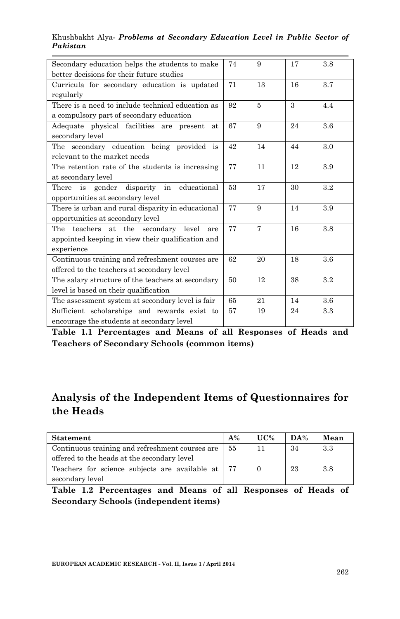#### Khushbakht Alya*- Problems at Secondary Education Level in Public Sector of Pakistan*

| Secondary education helps the students to make    | 74 | 9              | 17 | 3.8     |
|---------------------------------------------------|----|----------------|----|---------|
| better decisions for their future studies         |    |                |    |         |
| Curricula for secondary education is updated      | 71 | 13             | 16 | 3.7     |
| regularly                                         |    |                |    |         |
| There is a need to include technical education as | 92 | 5              | 3  | 4.4     |
| a compulsory part of secondary education          |    |                |    |         |
| Adequate physical facilities are present at       | 67 | 9              | 24 | $3.6\,$ |
| secondary level                                   |    |                |    |         |
| The secondary education being provided is         | 42 | 14             | 44 | 3.0     |
| relevant to the market needs                      |    |                |    |         |
| The retention rate of the students is increasing  | 77 | 11             | 12 | 3.9     |
| at secondary level                                |    |                |    |         |
| is gender disparity in educational<br>There       | 53 | 17             | 30 | 3.2     |
| opportunities at secondary level                  |    |                |    |         |
| There is urban and rural disparity in educational | 77 | 9              | 14 | 3.9     |
| opportunities at secondary level                  |    |                |    |         |
| The teachers at the secondary level<br>are        | 77 | $\overline{7}$ | 16 | 3.8     |
| appointed keeping in view their qualification and |    |                |    |         |
| experience                                        |    |                |    |         |
| Continuous training and refreshment courses are.  | 62 | 20             | 18 | 3.6     |
| offered to the teachers at secondary level        |    |                |    |         |
| The salary structure of the teachers at secondary | 50 | 12             | 38 | 3.2     |
| level is based on their qualification             |    |                |    |         |
| The assessment system at secondary level is fair  | 65 | 21             | 14 | 3.6     |
| Sufficient scholarships and rewards exist to      | 57 | 19             | 24 | 3.3     |
| encourage the students at secondary level         |    |                |    |         |

**Table 1.1 Percentages and Means of all Responses of Heads and Teachers of Secondary Schools (common items)**

## **Analysis of the Independent Items of Questionnaires for the Heads**

| Statement                                         | $A\%$ | UC% | DA% | Mean |
|---------------------------------------------------|-------|-----|-----|------|
| Continuous training and refreshment courses are   | 55    |     | 34  | 3.3  |
| offered to the heads at the secondary level       |       |     |     |      |
| Teachers for science subjects are available at 77 |       |     | 23  | 3.8  |
| secondary level                                   |       |     |     |      |

**Table 1.2 Percentages and Means of all Responses of Heads of Secondary Schools (independent items)**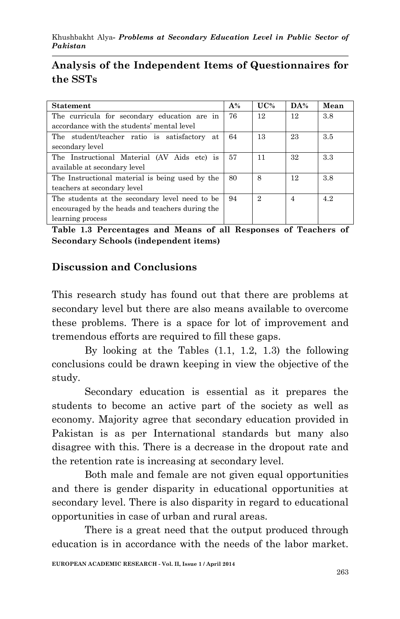# **Analysis of the Independent Items of Questionnaires for the SSTs**

| <b>Statement</b>                                |    | UC% | DA%            | Mean |
|-------------------------------------------------|----|-----|----------------|------|
| The curricula for secondary education are in    | 76 | 12  | 12             | 3.8  |
| accordance with the students' mental level      |    |     |                |      |
| The student/teacher ratio is satisfactory at    | 64 | 13  | 23             | 3.5  |
| secondary level                                 |    |     |                |      |
| The Instructional Material (AV Aids etc) is     | 57 | 11  | 32             | 3.3  |
| available at secondary level                    |    |     |                |      |
| The Instructional material is being used by the |    | 8   | 12             | 3.8  |
| teachers at secondary level                     |    |     |                |      |
| The students at the secondary level need to be  |    | 2   | $\overline{4}$ | 42   |
| encouraged by the heads and teachers during the |    |     |                |      |
| learning process                                |    |     |                |      |

**Table 1.3 Percentages and Means of all Responses of Teachers of Secondary Schools (independent items)** 

#### **Discussion and Conclusions**

This research study has found out that there are problems at secondary level but there are also means available to overcome these problems. There is a space for lot of improvement and tremendous efforts are required to fill these gaps.

By looking at the Tables (1.1, 1.2, 1.3) the following conclusions could be drawn keeping in view the objective of the study.

Secondary education is essential as it prepares the students to become an active part of the society as well as economy. Majority agree that secondary education provided in Pakistan is as per International standards but many also disagree with this. There is a decrease in the dropout rate and the retention rate is increasing at secondary level.

Both male and female are not given equal opportunities and there is gender disparity in educational opportunities at secondary level. There is also disparity in regard to educational opportunities in case of urban and rural areas.

There is a great need that the output produced through education is in accordance with the needs of the labor market.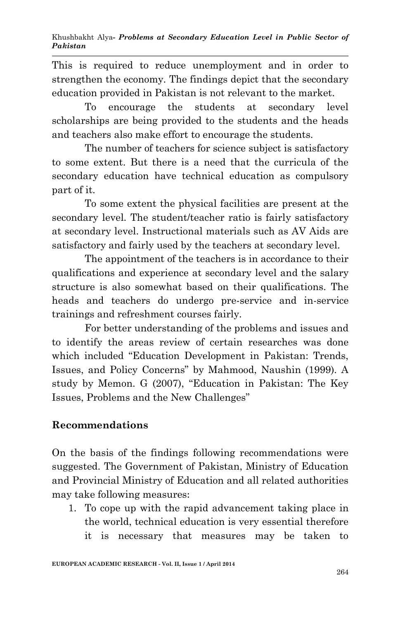This is required to reduce unemployment and in order to strengthen the economy. The findings depict that the secondary education provided in Pakistan is not relevant to the market.

To encourage the students at secondary level scholarships are being provided to the students and the heads and teachers also make effort to encourage the students.

The number of teachers for science subject is satisfactory to some extent. But there is a need that the curricula of the secondary education have technical education as compulsory part of it.

To some extent the physical facilities are present at the secondary level. The student/teacher ratio is fairly satisfactory at secondary level. Instructional materials such as AV Aids are satisfactory and fairly used by the teachers at secondary level.

The appointment of the teachers is in accordance to their qualifications and experience at secondary level and the salary structure is also somewhat based on their qualifications. The heads and teachers do undergo pre-service and in-service trainings and refreshment courses fairly.

For better understanding of the problems and issues and to identify the areas review of certain researches was done which included "Education Development in Pakistan: Trends, Issues, and Policy Concerns" by Mahmood, Naushin (1999). A study by Memon. G (2007), "Education in Pakistan: The Key Issues, Problems and the New Challenges"

# **Recommendations**

On the basis of the findings following recommendations were suggested. The Government of Pakistan, Ministry of Education and Provincial Ministry of Education and all related authorities may take following measures:

1. To cope up with the rapid advancement taking place in the world, technical education is very essential therefore it is necessary that measures may be taken to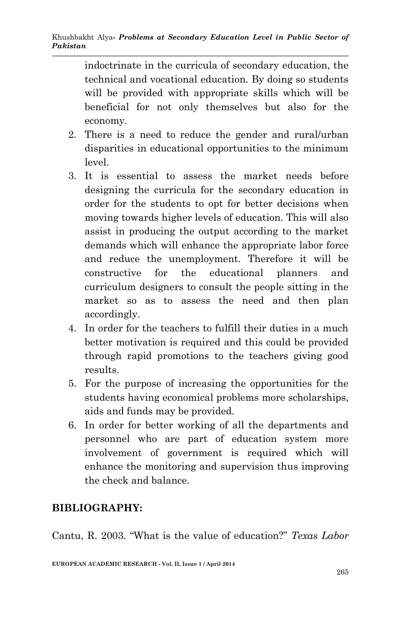indoctrinate in the curricula of secondary education, the technical and vocational education. By doing so students will be provided with appropriate skills which will be beneficial for not only themselves but also for the economy.

- 2. There is a need to reduce the gender and rural/urban disparities in educational opportunities to the minimum level.
- 3. It is essential to assess the market needs before designing the curricula for the secondary education in order for the students to opt for better decisions when moving towards higher levels of education. This will also assist in producing the output according to the market demands which will enhance the appropriate labor force and reduce the unemployment. Therefore it will be constructive for the educational planners and curriculum designers to consult the people sitting in the market so as to assess the need and then plan accordingly.
- 4. In order for the teachers to fulfill their duties in a much better motivation is required and this could be provided through rapid promotions to the teachers giving good results.
- 5. For the purpose of increasing the opportunities for the students having economical problems more scholarships, aids and funds may be provided.
- 6. In order for better working of all the departments and personnel who are part of education system more involvement of government is required which will enhance the monitoring and supervision thus improving the check and balance.

# **BIBLIOGRAPHY:**

Cantu, R. 2003. "What is the value of education?" *Texas Labor*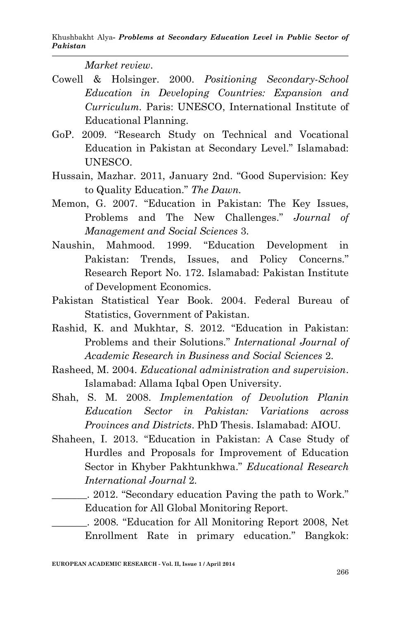*Market review*.

- Cowell & Holsinger. 2000. *Positioning Secondary-School Education in Developing Countries: Expansion and Curriculum.* Paris: UNESCO, International Institute of Educational Planning.
- GoP. 2009. "Research Study on Technical and Vocational Education in Pakistan at Secondary Level." Islamabad: UNESCO.
- Hussain, Mazhar. 2011, January 2nd. "Good Supervision: Key to Quality Education." *The Dawn.*
- Memon, G. 2007. "Education in Pakistan: The Key Issues, Problems and The New Challenges." *Journal of Management and Social Sciences* 3.
- Naushin, Mahmood. 1999. "Education Development in Pakistan: Trends, Issues, and Policy Concerns." Research Report No. 172. Islamabad: Pakistan Institute of Development Economics.
- Pakistan Statistical Year Book. 2004. Federal Bureau of Statistics, Government of Pakistan.
- Rashid, K. and Mukhtar, S. 2012. "Education in Pakistan: Problems and their Solutions." *International Journal of Academic Research in Business and Social Sciences* 2.
- Rasheed, M. 2004. *Educational administration and supervision*. Islamabad: Allama Iqbal Open University.
- Shah, S. M. 2008. *Implementation of Devolution Planin Education Sector in Pakistan: Variations across Provinces and Districts*. PhD Thesis. Islamabad: AIOU.
- Shaheen, I. 2013. "Education in Pakistan: A Case Study of Hurdles and Proposals for Improvement of Education Sector in Khyber Pakhtunkhwa." *Educational Research International Journal* 2.
	- \_\_\_\_\_\_\_. 2012. "Secondary education Paving the path to Work." Education for All Global Monitoring Report.
	- \_\_\_\_\_\_\_. 2008. "Education for All Monitoring Report 2008, Net Enrollment Rate in primary education." Bangkok: